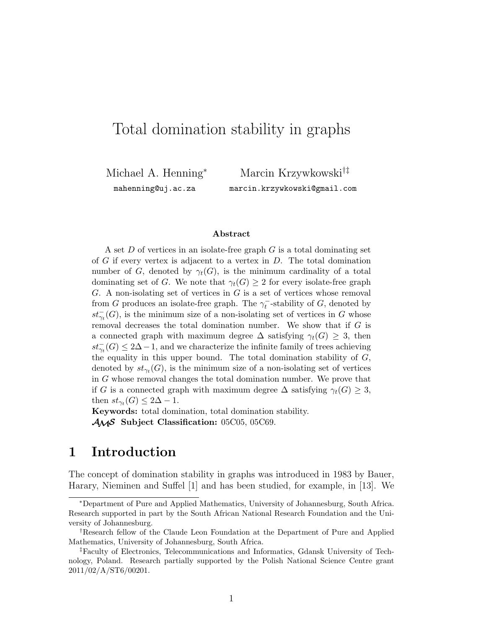# Total domination stability in graphs

Michael A. Henning<sup>∗</sup> mahenning@uj.ac.za

Marcin Krzywkowski†‡ marcin.krzywkowski@gmail.com

#### **Abstract**

A set D of vertices in an isolate-free graph G is a total dominating set of  $G$  if every vertex is adjacent to a vertex in  $D$ . The total domination number of G, denoted by  $\gamma_t(G)$ , is the minimum cardinality of a total dominating set of G. We note that  $\gamma_t(G) \geq 2$  for every isolate-free graph  $G.$  A non-isolating set of vertices in  $G$  is a set of vertices whose removal from G produces an isolate-free graph. The  $\gamma_t^-$ -stability of G, denoted by  $st_{\gamma_t}^-(G)$ , is the minimum size of a non-isolating set of vertices in G whose removal decreases the total domination number. We show that if  $G$  is a connected graph with maximum degree  $\Delta$  satisfying  $\gamma_t(G) \geq 3$ , then  $st_{\gamma_t}^-(G) \leq 2\Delta - 1$ , and we characterize the infinite family of trees achieving the equality in this upper bound. The total domination stability of  $G$ , denoted by  $st_{\gamma_t}(G)$ , is the minimum size of a non-isolating set of vertices in G whose removal changes the total domination number. We prove that if G is a connected graph with maximum degree  $\Delta$  satisfying  $\gamma_t(G) \geq 3$ , then  $st_{\gamma_t}(G) \leq 2\Delta - 1$ .

**Keywords:** total domination, total domination stability. AMS **Subject Classification:** 05C05, 05C69.

### **1 Introduction**

The concept of domination stability in graphs was introduced in 1983 by Bauer, Harary, Nieminen and Suffel [1] and has been studied, for example, in [13]. We

<sup>∗</sup>Department of Pure and Applied Mathematics, University of Johannesburg, South Africa. Research supported in part by the South African National Research Foundation and the University of Johannesburg.

<sup>†</sup>Research fellow of the Claude Leon Foundation at the Department of Pure and Applied Mathematics, University of Johannesburg, South Africa.

<sup>‡</sup>Faculty of Electronics, Telecommunications and Informatics, Gdansk University of Technology, Poland. Research partially supported by the Polish National Science Centre grant 2011/02/A/ST6/00201.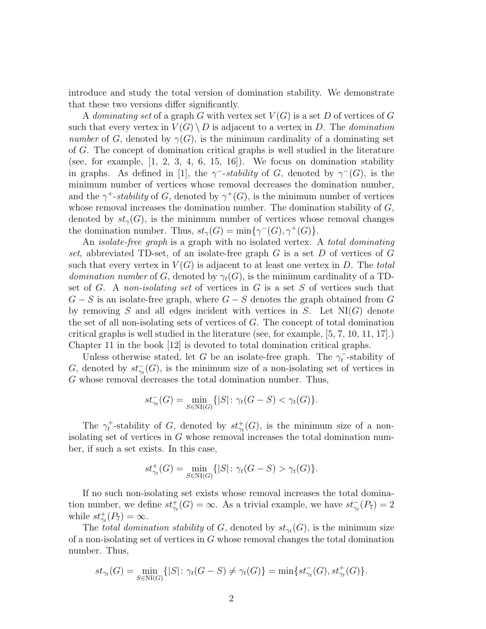introduce and study the total version of domination stability. We demonstrate that these two versions differ significantly.

A *dominating set* of a graph G with vertex set V (G) is a set D of vertices of G such that every vertex in  $V(G) \setminus D$  is adjacent to a vertex in D. The *domination number* of G, denoted by  $\gamma(G)$ , is the minimum cardinality of a dominating set of G. The concept of domination critical graphs is well studied in the literature (see, for example,  $\begin{bmatrix} 1, 2, 3, 4, 6, 15, 16 \end{bmatrix}$ ). We focus on domination stability in graphs. As defined in [1], the  $\gamma$ <sup>-</sup>-stability of G, denoted by  $\gamma$ <sup>-</sup>(G), is the minimum number of vertices whose removal decreases the domination number, and the  $\gamma^+$ -*stability* of G, denoted by  $\gamma^+(G)$ , is the minimum number of vertices whose removal increases the domination number. The domination stability of  $G$ , denoted by  $st_{\gamma}(G)$ , is the minimum number of vertices whose removal changes the domination number. Thus,  $st_{\gamma}(G) = \min{\gamma^{-}(G), \gamma^{+}(G)}$ .

An *isolate-free graph* is a graph with no isolated vertex. A *total dominating set*, abbreviated TD-set, of an isolate-free graph G is a set D of vertices of G such that every vertex in  $V(G)$  is adjacent to at least one vertex in D. The *total domination number* of G, denoted by  $\gamma_t(G)$ , is the minimum cardinality of a TDset of G. A *non-isolating set* of vertices in G is a set S of vertices such that  $G - S$  is an isolate-free graph, where  $G - S$  denotes the graph obtained from G by removing S and all edges incident with vertices in S. Let  $N1(G)$  denote the set of all non-isolating sets of vertices of G. The concept of total domination critical graphs is well studied in the literature (see, for example, [5, 7, 10, 11, 17].) Chapter 11 in the book [12] is devoted to total domination critical graphs.

Unless otherwise stated, let G be an isolate-free graph. The  $\gamma_t^-$ -stability of G, denoted by  $st_{\gamma_t}^-(G)$ , is the minimum size of a non-isolating set of vertices in G whose removal decreases the total domination number. Thus,

$$
st_{\gamma_t}^-(G) = \min_{S \in \text{NI}(G)} \{|S| : \gamma_t(G - S) < \gamma_t(G)\}.
$$

The  $\gamma_t^+$ -stability of G, denoted by  $st^+_{\gamma_t}(G)$ , is the minimum size of a nonisolating set of vertices in G whose removal increases the total domination number, if such a set exists. In this case,

$$
st^+_{\gamma_t}(G) = \min_{S \in \text{NI}(G)} \{|S| : \gamma_t(G - S) > \gamma_t(G)\}.
$$

If no such non-isolating set exists whose removal increases the total domination number, we define  $st^+_{\gamma_t}(G) = \infty$ . As a trivial example, we have  $st^-_{\gamma_t}(P_7) = 2$ while  $st^+_{\gamma_t}(P_7) = \infty$ .

The *total domination stability* of G, denoted by  $st_{\gamma_t}(G)$ , is the minimum size of a non-isolating set of vertices in G whose removal changes the total domination number. Thus,

$$
st_{\gamma_t}(G) = \min_{S \in \text{NI}(G)} \{|S| \colon \gamma_t(G - S) \neq \gamma_t(G)\} = \min \{ st_{\gamma_t}^-(G), st_{\gamma_t}^+(G) \}.
$$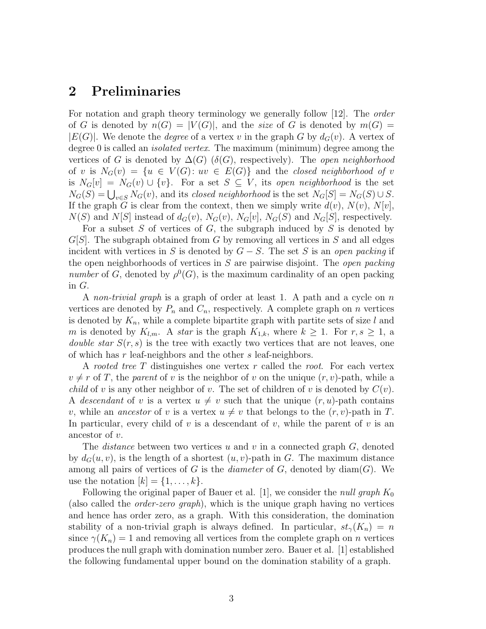### **2 Preliminaries**

For notation and graph theory terminology we generally follow [12]. The *order* of G is denoted by  $n(G) = |V(G)|$ , and the *size* of G is denoted by  $m(G)$  $|E(G)|$ . We denote the *degree* of a vertex v in the graph G by  $d_G(v)$ . A vertex of degree 0 is called an *isolated vertex*. The maximum (minimum) degree among the vertices of G is denoted by  $\Delta(G)$  ( $\delta(G)$ , respectively). The *open neighborhood* of v is  $N_G(v) = \{u \in V(G): uv \in E(G)\}\$  and the *closed neighborhood of* v is  $N_G[v] = N_G(v) \cup \{v\}$ . For a set  $S \subseteq V$ , its *open neighborhood* is the set  $N_G(S) = \bigcup_{v \in S} N_G(v)$ , and its *closed neighborhood* is the set  $N_G[S] = N_G(S) \cup S$ . If the graph G is clear from the context, then we simply write  $d(v)$ ,  $N(v)$ ,  $N[v]$ ,  $N(S)$  and  $N[S]$  instead of  $d_G(v)$ ,  $N_G(v)$ ,  $N_G[v]$ ,  $N_G(S)$  and  $N_G[S]$ , respectively.

For a subset S of vertices of G, the subgraph induced by S is denoted by  $G[S]$ . The subgraph obtained from G by removing all vertices in S and all edges incident with vertices in S is denoted by  $G - S$ . The set S is an *open packing* if the open neighborhoods of vertices in S are pairwise disjoint. The *open packing number* of G, denoted by  $\rho^{0}(G)$ , is the maximum cardinality of an open packing in G.

A *non-trivial graph* is a graph of order at least 1. A path and a cycle on n vertices are denoted by  $P_n$  and  $C_n$ , respectively. A complete graph on n vertices is denoted by  $K_n$ , while a complete bipartite graph with partite sets of size l and m is denoted by  $K_{l,m}$ . A *star* is the graph  $K_{1,k}$ , where  $k \geq 1$ . For  $r, s \geq 1$ , a *double star*  $S(r, s)$  is the tree with exactly two vertices that are not leaves, one of which has r leaf-neighbors and the other s leaf-neighbors.

A *rooted tree* T distinguishes one vertex r called the *root*. For each vertex  $v \neq r$  of T, the *parent* of v is the neighbor of v on the unique  $(r, v)$ -path, while a *child* of v is any other neighbor of v. The set of children of v is denoted by  $C(v)$ . A *descendant* of v is a vertex  $u \neq v$  such that the unique  $(r, u)$ -path contains v, while an *ancestor* of v is a vertex  $u \neq v$  that belongs to the  $(r, v)$ -path in T. In particular, every child of v is a descendant of v, while the parent of v is an ancestor of v.

The *distance* between two vertices u and v in a connected graph G, denoted by  $d_G(u, v)$ , is the length of a shortest  $(u, v)$ -path in G. The maximum distance among all pairs of vertices of  $G$  is the *diameter* of  $G$ , denoted by  $\text{diam}(G)$ . We use the notation  $[k] = \{1, \ldots, k\}.$ 

Following the original paper of Bauer et al. [1], we consider the *null graph*  $K_0$ (also called the *order-zero graph*), which is the unique graph having no vertices and hence has order zero, as a graph. With this consideration, the domination stability of a non-trivial graph is always defined. In particular,  $st_{\gamma}(K_n) = n$ since  $\gamma(K_n) = 1$  and removing all vertices from the complete graph on *n* vertices produces the null graph with domination number zero. Bauer et al. [1] established the following fundamental upper bound on the domination stability of a graph.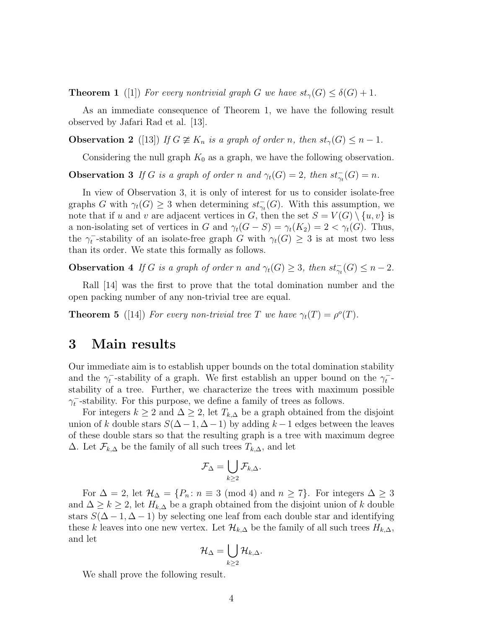**Theorem 1** ([1]) For every nontrivial graph G we have  $st_{\gamma}(G) \leq \delta(G) + 1$ .

As an immediate consequence of Theorem 1, we have the following result observed by Jafari Rad et al. [13].

**Observation 2** ([13]) *If*  $G \not\cong K_n$  *is a graph of order n, then*  $st_\gamma(G) \leq n - 1$ *.* 

Considering the null graph  $K_0$  as a graph, we have the following observation.

**Observation 3** *If* G *is a graph of order* n and  $\gamma_t(G) = 2$ , then  $st_{\gamma_t}(G) = n$ .

In view of Observation 3, it is only of interest for us to consider isolate-free graphs G with  $\gamma_t(G) \geq 3$  when determining  $st_{\gamma_t}(G)$ . With this assumption, we note that if u and v are adjacent vertices in G, then the set  $S = V(G) \setminus \{u, v\}$  is a non-isolating set of vertices in G and  $\gamma_t(G - S) = \gamma_t(K_2) = 2 < \gamma_t(G)$ . Thus, the  $\gamma_t^-$ -stability of an isolate-free graph G with  $\gamma_t(G) \geq 3$  is at most two less than its order. We state this formally as follows.

**Observation 4** *If* G *is a graph of order* n and  $\gamma_t(G) \geq 3$ , then  $st_{\gamma_t}(G) \leq n-2$ *.* 

Rall [14] was the first to prove that the total domination number and the open packing number of any non-trivial tree are equal.

**Theorem 5** ([14]) *For every non-trivial tree* T *we have*  $\gamma_t(T) = \rho^o(T)$ *.* 

### **3 Main results**

Our immediate aim is to establish upper bounds on the total domination stability and the  $\gamma_t^-$ -stability of a graph. We first establish an upper bound on the  $\gamma_t^-$ stability of a tree. Further, we characterize the trees with maximum possible  $\gamma_t^-$ -stability. For this purpose, we define a family of trees as follows.

For integers  $k \geq 2$  and  $\Delta \geq 2$ , let  $T_{k,\Delta}$  be a graph obtained from the disjoint union of k double stars  $S(\Delta - 1, \Delta - 1)$  by adding  $k - 1$  edges between the leaves of these double stars so that the resulting graph is a tree with maximum degree  $\Delta$ . Let  $\mathcal{F}_{k,\Delta}$  be the family of all such trees  $T_{k,\Delta}$ , and let

$$
\mathcal{F}_\Delta = \bigcup_{k \geq 2} \mathcal{F}_{k,\Delta}.
$$

For  $\Delta = 2$ , let  $\mathcal{H}_{\Delta} = \{P_n : n \equiv 3 \pmod{4} \text{ and } n \geq 7\}$ . For integers  $\Delta \geq 3$ and  $\Delta \geq k \geq 2$ , let  $H_{k,\Delta}$  be a graph obtained from the disjoint union of k double stars  $S(\Delta - 1, \Delta - 1)$  by selecting one leaf from each double star and identifying these k leaves into one new vertex. Let  $\mathcal{H}_{k,\Delta}$  be the family of all such trees  $H_{k,\Delta}$ , and let

$$
\mathcal{H}_\Delta=\bigcup_{k\geq 2}\mathcal{H}_{k,\Delta}.
$$

We shall prove the following result.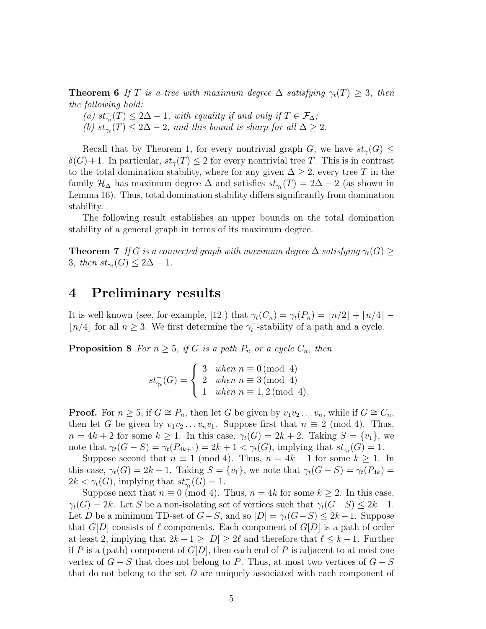**Theorem 6** If T is a tree with maximum degree  $\Delta$  satisfying  $\gamma_t(T) \geq 3$ , then *the following hold:*

(a)  $st_{\gamma_t}^-(T) \leq 2\Delta - 1$ , with equality if and only if  $T \in \mathcal{F}_{\Delta}$ ;

(b)  $st_{\gamma t}(T) \leq 2\Delta - 2$ , and this bound is sharp for all  $\Delta \geq 2$ .

Recall that by Theorem 1, for every nontrivial graph G, we have  $st_{\gamma}(G) \leq$  $\delta(G)+1$ . In particular,  $st_{\gamma}(T) \leq 2$  for every nontrivial tree T. This is in contrast to the total domination stability, where for any given  $\Delta \geq 2$ , every tree T in the family  $\mathcal{H}_{\Delta}$  has maximum degree  $\Delta$  and satisfies  $st_{\gamma_t}(T) = 2\Delta - 2$  (as shown in Lemma 16). Thus, total domination stability differs significantly from domination stability.

The following result establishes an upper bounds on the total domination stability of a general graph in terms of its maximum degree.

**Theorem 7** *If* G is a connected graph with maximum degree  $\Delta$  *satisfying*  $\gamma_t(G) \geq$ 3*, then*  $st_{\gamma t}(G) \leq 2\Delta - 1$ *.* 

### **4 Preliminary results**

It is well known (see, for example, [12]) that  $\gamma_t(C_n) = \gamma_t(P_n) = \lfloor n/2 \rfloor + \lceil n/4 \rceil \lfloor n/4 \rfloor$  for all  $n \geq 3$ . We first determine the  $\gamma_t^-$ -stability of a path and a cycle.

**Proposition 8** *For*  $n \geq 5$ *, if* G *is a path*  $P_n$  *or a cycle*  $C_n$ *, then* 

$$
st_{\gamma_t}^-(G) = \begin{cases} 3 & when \ n \equiv 0 \pmod{4} \\ 2 & when \ n \equiv 3 \pmod{4} \\ 1 & when \ n \equiv 1,2 \pmod{4} \end{cases}
$$

**Proof.** For  $n \geq 5$ , if  $G \cong P_n$ , then let G be given by  $v_1v_2 \ldots v_n$ , while if  $G \cong C_n$ , then let G be given by  $v_1v_2 \ldots v_nv_1$ . Suppose first that  $n \equiv 2 \pmod{4}$ . Thus,  $n = 4k + 2$  for some  $k \geq 1$ . In this case,  $\gamma_t(G) = 2k + 2$ . Taking  $S = \{v_1\}$ , we note that  $\gamma_t(G - S) = \gamma_t(P_{4k+1}) = 2k + 1 < \gamma_t(G)$ , implying that  $st_{\gamma_t}(G) = 1$ .

Suppose second that  $n \equiv 1 \pmod{4}$ . Thus,  $n = 4k + 1$  for some  $k \ge 1$ . In this case,  $\gamma_t(G) = 2k + 1$ . Taking  $S = \{v_1\}$ , we note that  $\gamma_t(G - S) = \gamma_t(P_{4k})$  $2k < \gamma_t(G)$ , implying that  $st_{\gamma_t}^-(G) = 1$ .

Suppose next that  $n \equiv 0 \pmod{4}$ . Thus,  $n = 4k$  for some  $k \ge 2$ . In this case,  $\gamma_t(G) = 2k$ . Let S be a non-isolating set of vertices such that  $\gamma_t(G-S) \leq 2k-1$ . Let D be a minimum TD-set of  $G-S$ , and so  $|D| = \gamma_t(G-S) \leq 2k-1$ . Suppose that  $G[D]$  consists of  $\ell$  components. Each component of  $G[D]$  is a path of order at least 2, implying that  $2k - 1 \geq |D| \geq 2\ell$  and therefore that  $\ell \leq k - 1$ . Further if P is a (path) component of  $G[D]$ , then each end of P is adjacent to at most one vertex of  $G - S$  that does not belong to P. Thus, at most two vertices of  $G - S$ that do not belong to the set  $D$  are uniquely associated with each component of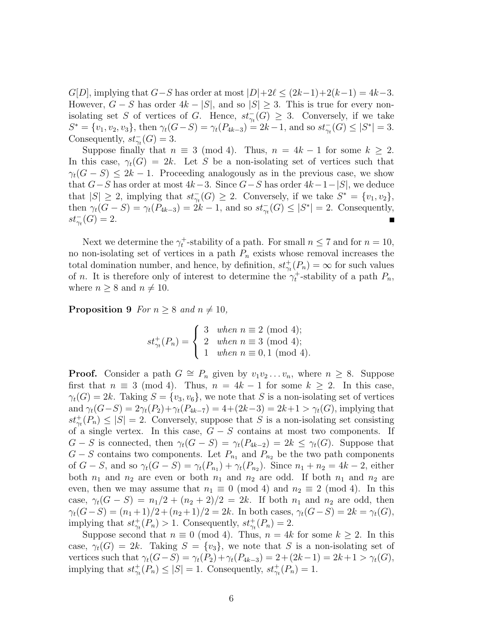$G[D]$ , implying that  $G-S$  has order at most  $|D|+2\ell \leq (2k-1)+2(k-1) = 4k-3$ . However,  $G - S$  has order  $4k - |S|$ , and so  $|S| \geq 3$ . This is true for every nonisolating set S of vertices of G. Hence,  $st_{\gamma_t}(G) \geq 3$ . Conversely, if we take  $S^* = \{v_1, v_2, v_3\}$ , then  $\gamma_t(G - S) = \gamma_t(P_{4k-3}) = 2k - 1$ , and so  $st_{\gamma_t}(G) \leq |S^*| = 3$ . Consequently,  $st_{\gamma_t}^-(G) = 3$ .

Suppose finally that  $n \equiv 3 \pmod{4}$ . Thus,  $n = 4k - 1$  for some  $k \geq 2$ . In this case,  $\gamma_t(G) = 2k$ . Let S be a non-isolating set of vertices such that  $\gamma_t(G-S) \leq 2k-1$ . Proceeding analogously as in the previous case, we show that  $G-S$  has order at most  $4k-3$ . Since  $G-S$  has order  $4k-1-|S|$ , we deduce that  $|S| \geq 2$ , implying that  $st_{\gamma_t}^-(G) \geq 2$ . Conversely, if we take  $S^* = \{v_1, v_2\}$ , then  $\gamma_t(G - S) = \gamma_t(P_{4k-3}) = 2k - 1$ , and so  $st_{\gamma_t}(G) \leq |S^*| = 2$ . Consequently,  $st_{\gamma_t}^-(G) = 2.$ 

Next we determine the  $\gamma_t^+$ -stability of a path. For small  $n \leq 7$  and for  $n = 10$ , no non-isolating set of vertices in a path  $P_n$  exists whose removal increases the total domination number, and hence, by definition,  $st^+_{\gamma_t}(P_n) = \infty$  for such values of *n*. It is therefore only of interest to determine the  $\gamma_t^+$ -stability of a path  $P_n$ , where  $n \geq 8$  and  $n \neq 10$ .

**Proposition 9** *For*  $n \geq 8$  *and*  $n \neq 10$ *,* 

$$
st^+_{\gamma_t}(P_n) = \begin{cases} 3 & when n \equiv 2 \pmod{4}; \\ 2 & when n \equiv 3 \pmod{4}; \\ 1 & when n \equiv 0, 1 \pmod{4}. \end{cases}
$$

**Proof.** Consider a path  $G \cong P_n$  given by  $v_1v_2 \ldots v_n$ , where  $n \geq 8$ . Suppose first that  $n \equiv 3 \pmod{4}$ . Thus,  $n = 4k - 1$  for some  $k \geq 2$ . In this case,  $\gamma_t(G) = 2k$ . Taking  $S = \{v_3, v_6\}$ , we note that S is a non-isolating set of vertices and  $\gamma_t(G-S) = 2\gamma_t(P_2) + \gamma_t(P_{4k-7}) = 4 + (2k-3) = 2k+1 > \gamma_t(G)$ , implying that  $st^+_{\gamma t}(P_n) \leq |S| = 2$ . Conversely, suppose that S is a non-isolating set consisting of a single vertex. In this case,  $G - S$  contains at most two components. If  $G - S$  is connected, then  $\gamma_t(G - S) = \gamma_t(P_{4k-2}) = 2k \leq \gamma_t(G)$ . Suppose that  $G - S$  contains two components. Let  $P_{n_1}$  and  $P_{n_2}$  be the two path components of  $G - S$ , and so  $\gamma_t(G - S) = \gamma_t(P_{n_1}) + \gamma_t(P_{n_2})$ . Since  $n_1 + n_2 = 4k - 2$ , either both  $n_1$  and  $n_2$  are even or both  $n_1$  and  $n_2$  are odd. If both  $n_1$  and  $n_2$  are even, then we may assume that  $n_1 \equiv 0 \pmod{4}$  and  $n_2 \equiv 2 \pmod{4}$ . In this case,  $\gamma_t(G-S) = n_1/2 + (n_2+2)/2 = 2k$ . If both  $n_1$  and  $n_2$  are odd, then  $\gamma_t(G-S) = (n_1+1)/2 + (n_2+1)/2 = 2k$ . In both cases,  $\gamma_t(G-S) = 2k = \gamma_t(G)$ , implying that  $st^+_{\gamma_t}(P_n) > 1$ . Consequently,  $st^+_{\gamma_t}(P_n) = 2$ .

Suppose second that  $n \equiv 0 \pmod{4}$ . Thus,  $n = 4k$  for some  $k \geq 2$ . In this case,  $\gamma_t(G) = 2k$ . Taking  $S = \{v_3\}$ , we note that S is a non-isolating set of vertices such that  $\gamma_t(G-S) = \gamma_t(P_2) + \gamma_t(P_{4k-3}) = 2 + (2k-1) = 2k+1 > \gamma_t(G)$ , implying that  $st^+_{\gamma_t}(P_n) \leq |S| = 1$ . Consequently,  $st^+_{\gamma_t}(P_n) = 1$ .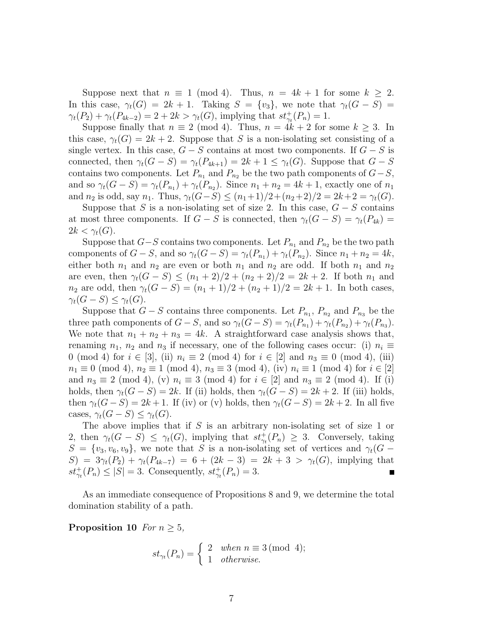Suppose next that  $n \equiv 1 \pmod{4}$ . Thus,  $n = 4k + 1$  for some  $k \geq 2$ . In this case,  $\gamma_t(G) = 2k + 1$ . Taking  $S = \{v_3\}$ , we note that  $\gamma_t(G - S)$  $\gamma_t(P_2) + \gamma_t(P_{4k-2}) = 2 + 2k > \gamma_t(G)$ , implying that  $st^+_{\gamma_t}(P_n) = 1$ .

Suppose finally that  $n \equiv 2 \pmod{4}$ . Thus,  $n = 4k + 2$  for some  $k \geq 3$ . In this case,  $\gamma_t(G) = 2k + 2$ . Suppose that S is a non-isolating set consisting of a single vertex. In this case,  $G - S$  contains at most two components. If  $G - S$  is connected, then  $\gamma_t(G - S) = \gamma_t(P_{4k+1}) = 2k + 1 \leq \gamma_t(G)$ . Suppose that  $G - S$ contains two components. Let  $P_{n_1}$  and  $P_{n_2}$  be the two path components of  $G-S$ , and so  $\gamma_t(G - S) = \gamma_t(P_{n_1}) + \gamma_t(P_{n_2})$ . Since  $n_1 + n_2 = 4k + 1$ , exactly one of  $n_1$ and  $n_2$  is odd, say  $n_1$ . Thus,  $\gamma_t(G-S) \leq (n_1+1)/2 + (n_2+2)/2 = 2k+2 = \gamma_t(G)$ .

Suppose that S is a non-isolating set of size 2. In this case,  $G - S$  contains at most three components. If  $G - S$  is connected, then  $\gamma_t(G - S) = \gamma_t(P_{4k})$  $2k < \gamma_t(G)$ .

Suppose that  $G-S$  contains two components. Let  $P_{n_1}$  and  $P_{n_2}$  be the two path components of  $G - S$ , and so  $\gamma_t(G - S) = \gamma_t(P_{n_1}) + \gamma_t(P_{n_2})$ . Since  $n_1 + n_2 = 4k$ , either both  $n_1$  and  $n_2$  are even or both  $n_1$  and  $n_2$  are odd. If both  $n_1$  and  $n_2$ are even, then  $\gamma_t(G - S) \leq (n_1 + 2)/2 + (n_2 + 2)/2 = 2k + 2$ . If both  $n_1$  and  $n_2$  are odd, then  $\gamma_t(G - S) = (n_1 + 1)/2 + (n_2 + 1)/2 = 2k + 1$ . In both cases,  $\gamma_t(G-S) \leq \gamma_t(G).$ 

Suppose that  $G-S$  contains three components. Let  $P_{n_1}, P_{n_2}$  and  $P_{n_3}$  be the three path components of  $G - S$ , and so  $\gamma_t(G - S) = \gamma_t(P_{n_1}) + \gamma_t(P_{n_2}) + \gamma_t(P_{n_3})$ . We note that  $n_1 + n_2 + n_3 = 4k$ . A straightforward case analysis shows that, renaming  $n_1$ ,  $n_2$  and  $n_3$  if necessary, one of the following cases occur: (i)  $n_i \equiv$ 0 (mod 4) for  $i \in [3]$ , (ii)  $n_i \equiv 2 \pmod{4}$  for  $i \in [2]$  and  $n_3 \equiv 0 \pmod{4}$ , (iii)  $n_1 \equiv 0 \pmod{4}, n_2 \equiv 1 \pmod{4}, n_3 \equiv 3 \pmod{4}, (iv) \ n_i \equiv 1 \pmod{4}$  for  $i \in [2]$ and  $n_3 \equiv 2 \pmod{4}$ , (v)  $n_i \equiv 3 \pmod{4}$  for  $i \in [2]$  and  $n_3 \equiv 2 \pmod{4}$ . If (i) holds, then  $\gamma_t(G - S) = 2k$ . If (ii) holds, then  $\gamma_t(G - S) = 2k + 2$ . If (iii) holds, then  $\gamma_t(G-S) = 2k+1$ . If (iv) or (v) holds, then  $\gamma_t(G-S) = 2k+2$ . In all five cases,  $\gamma_t(G-S) \leq \gamma_t(G)$ .

The above implies that if  $S$  is an arbitrary non-isolating set of size 1 or 2, then  $\gamma_t(G - S) \leq \gamma_t(G)$ , implying that  $st^+_{\gamma_t}(P_n) \geq 3$ . Conversely, taking  $S = \{v_3, v_6, v_9\}$ , we note that S is a non-isolating set of vertices and  $\gamma_t(G S = 3\gamma_t(P_2) + \gamma_t(P_{4k-7}) = 6 + (2k-3) = 2k+3 > \gamma_t(G)$ , implying that  $st^+_{\gamma_t}(P_n) \leq |S| = 3$ . Consequently,  $st^+_{\gamma_t}(P_n) = 3$ .

As an immediate consequence of Propositions 8 and 9, we determine the total domination stability of a path.

**Proposition 10** *For*  $n \geq 5$ *,* 

$$
st_{\gamma_t}(P_n) = \begin{cases} 2 & when \ n \equiv 3 \pmod{4}; \\ 1 & otherwise. \end{cases}
$$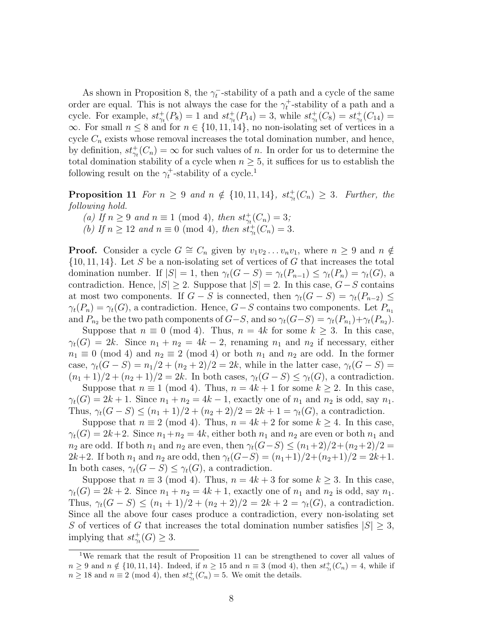As shown in Proposition 8, the  $\gamma_t^-$ -stability of a path and a cycle of the same order are equal. This is not always the case for the  $\gamma_t^+$ -stability of a path and a cycle. For example,  $st^+_{\gamma_t}(P_8) = 1$  and  $st^+_{\gamma_t}(P_{14}) = 3$ , while  $st^+_{\gamma_t}(C_8) = st^+_{\gamma_t}(C_{14}) =$  $\infty$ . For small  $n \leq 8$  and for  $n \in \{10, 11, 14\}$ , no non-isolating set of vertices in a cycle  $C_n$  exists whose removal increases the total domination number, and hence, by definition,  $st^+_{\gamma t}(C_n) = \infty$  for such values of n. In order for us to determine the total domination stability of a cycle when  $n \geq 5$ , it suffices for us to establish the following result on the  $\gamma_t^+$ -stability of a cycle.<sup>1</sup>

**Proposition 11** *For*  $n \geq 9$  *and*  $n \notin \{10, 11, 14\}$ *,*  $st^+_{\gamma_t}(C_n) \geq 3$ *. Further, the following hold.*

*(a)* If  $n \ge 9$  *and*  $n \equiv 1 \pmod{4}$ *, then*  $st^+_{\gamma_t}(C_n) = 3$ *; (b)* If  $n \ge 12$  and  $n \equiv 0 \pmod{4}$ , then  $st^+_{\gamma_t}(C_n) = 3$ .

**Proof.** Consider a cycle  $G \cong C_n$  given by  $v_1v_2 \ldots v_nv_1$ , where  $n \geq 9$  and  $n \notin$  $\{10, 11, 14\}$ . Let S be a non-isolating set of vertices of G that increases the total domination number. If  $|S| = 1$ , then  $\gamma_t(G - S) = \gamma_t(P_{n-1}) \leq \gamma_t(P_n) = \gamma_t(G)$ , a contradiction. Hence,  $|S| \geq 2$ . Suppose that  $|S| = 2$ . In this case,  $G-S$  contains at most two components. If  $G - S$  is connected, then  $\gamma_t(G - S) = \gamma_t(P_{n-2}) \leq$  $\gamma_t(P_n) = \gamma_t(G)$ , a contradiction. Hence,  $G-S$  contains two components. Let  $P_{n_1}$ and  $P_{n_2}$  be the two path components of  $G-S$ , and so  $\gamma_t(G-S) = \gamma_t(P_{n_1}) + \gamma_t(P_{n_2})$ .

Suppose that  $n \equiv 0 \pmod{4}$ . Thus,  $n = 4k$  for some  $k \geq 3$ . In this case,  $\gamma_t(G) = 2k$ . Since  $n_1 + n_2 = 4k - 2$ , renaming  $n_1$  and  $n_2$  if necessary, either  $n_1 \equiv 0 \pmod{4}$  and  $n_2 \equiv 2 \pmod{4}$  or both  $n_1$  and  $n_2$  are odd. In the former case,  $\gamma_t(G-S) = n_1/2 + (n_2+2)/2 = 2k$ , while in the latter case,  $\gamma_t(G-S)$  $(n_1+1)/2 + (n_2+1)/2 = 2k$ . In both cases,  $\gamma_t(G-S) \leq \gamma_t(G)$ , a contradiction.

Suppose that  $n \equiv 1 \pmod{4}$ . Thus,  $n = 4k + 1$  for some  $k \geq 2$ . In this case,  $\gamma_t(G) = 2k + 1$ . Since  $n_1 + n_2 = 4k - 1$ , exactly one of  $n_1$  and  $n_2$  is odd, say  $n_1$ . Thus,  $\gamma_t(G-S) \leq (n_1+1)/2 + (n_2+2)/2 = 2k+1 = \gamma_t(G)$ , a contradiction.

Suppose that  $n \equiv 2 \pmod{4}$ . Thus,  $n = 4k + 2$  for some  $k \ge 4$ . In this case,  $\gamma_t(G) = 2k+2$ . Since  $n_1+n_2 = 4k$ , either both  $n_1$  and  $n_2$  are even or both  $n_1$  and  $n_2$  are odd. If both  $n_1$  and  $n_2$  are even, then  $\gamma_t(G-S) \leq (n_1+2)/2+(n_2+2)/2=$ 2k+2. If both  $n_1$  and  $n_2$  are odd, then  $\gamma_t(G-S) = (n_1+1)/2+(n_2+1)/2 = 2k+1$ . In both cases,  $\gamma_t(G-S) \leq \gamma_t(G)$ , a contradiction.

Suppose that  $n \equiv 3 \pmod{4}$ . Thus,  $n = 4k + 3$  for some  $k \geq 3$ . In this case,  $\gamma_t(G) = 2k + 2$ . Since  $n_1 + n_2 = 4k + 1$ , exactly one of  $n_1$  and  $n_2$  is odd, say  $n_1$ . Thus,  $\gamma_t(G-S) \leq (n_1+1)/2 + (n_2+2)/2 = 2k+2 = \gamma_t(G)$ , a contradiction. Since all the above four cases produce a contradiction, every non-isolating set S of vertices of G that increases the total domination number satisfies  $|S| \geq 3$ , implying that  $st^+_{\gamma_t}(G) \geq 3$ .

<sup>&</sup>lt;sup>1</sup>We remark that the result of Proposition 11 can be strengthened to cover all values of  $n \geq 9$  and  $n \notin \{10, 11, 14\}$ . Indeed, if  $n \geq 15$  and  $n \equiv 3 \pmod{4}$ , then  $st^+_{\gamma_t}(C_n) = 4$ , while if  $n \geq 18$  and  $n \equiv 2 \pmod{4}$ , then  $st^+_{\gamma_t}(C_n) = 5$ . We omit the details.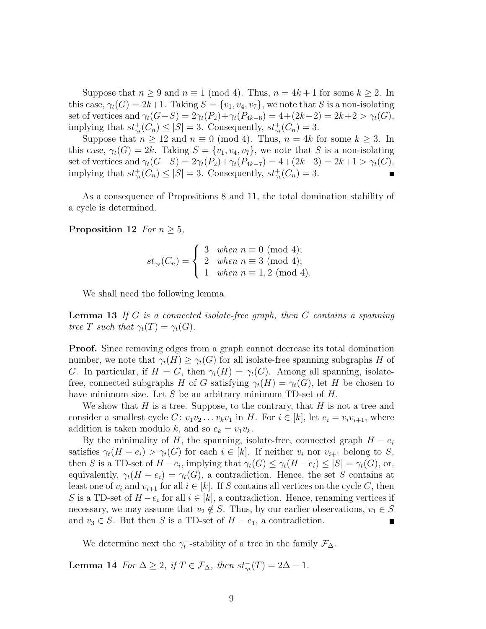Suppose that  $n \geq 9$  and  $n \equiv 1 \pmod{4}$ . Thus,  $n = 4k + 1$  for some  $k \geq 2$ . In this case,  $\gamma_t(G) = 2k+1$ . Taking  $S = \{v_1, v_4, v_7\}$ , we note that S is a non-isolating set of vertices and  $\gamma_t(G-S) = 2\gamma_t(P_2) + \gamma_t(P_{4k-6}) = 4 + (2k-2) = 2k+2 > \gamma_t(G)$ , implying that  $st^+_{\gamma_t}(C_n) \leq |S| = 3$ . Consequently,  $st^+_{\gamma_t}(C_n) = 3$ .

Suppose that  $n \ge 12$  and  $n \equiv 0 \pmod{4}$ . Thus,  $n = 4k$  for some  $k \ge 3$ . In this case,  $\gamma_t(G) = 2k$ . Taking  $S = \{v_1, v_4, v_7\}$ , we note that S is a non-isolating set of vertices and  $\gamma_t(G-S) = 2\gamma_t(P_2) + \gamma_t(P_{4k-7}) = 4 + (2k-3) = 2k+1 > \gamma_t(G)$ , implying that  $st^+_{\gamma_t}(C_n) \leq |S| = 3$ . Consequently,  $st^+_{\gamma_t}(C_n) = 3$ .

As a consequence of Propositions 8 and 11, the total domination stability of a cycle is determined.

#### **Proposition 12** *For*  $n \geq 5$ *,*

$$
st_{\gamma_t}(C_n) = \begin{cases} 3 & when \ n \equiv 0 \pmod{4}; \\ 2 & when \ n \equiv 3 \pmod{4}; \\ 1 & when \ n \equiv 1,2 \pmod{4}. \end{cases}
$$

We shall need the following lemma.

**Lemma 13** *If* G *is a connected isolate-free graph, then* G *contains a spanning tree* T *such that*  $\gamma_t(T) = \gamma_t(G)$ *.* 

**Proof.** Since removing edges from a graph cannot decrease its total domination number, we note that  $\gamma_t(H) \geq \gamma_t(G)$  for all isolate-free spanning subgraphs H of G. In particular, if  $H = G$ , then  $\gamma_t(H) = \gamma_t(G)$ . Among all spanning, isolatefree, connected subgraphs H of G satisfying  $\gamma_t(H) = \gamma_t(G)$ , let H be chosen to have minimum size. Let S be an arbitrary minimum TD-set of H.

We show that  $H$  is a tree. Suppose, to the contrary, that  $H$  is not a tree and consider a smallest cycle  $C: v_1v_2 \ldots v_kv_1$  in H. For  $i \in [k]$ , let  $e_i = v_iv_{i+1}$ , where addition is taken modulo k, and so  $e_k = v_1v_k$ .

By the minimality of H, the spanning, isolate-free, connected graph  $H - e_i$ satisfies  $\gamma_t(H - e_i) > \gamma_t(G)$  for each  $i \in [k]$ . If neither  $v_i$  nor  $v_{i+1}$  belong to S, then S is a TD-set of  $H - e_i$ , implying that  $\gamma_t(G) \leq \gamma_t(H - e_i) \leq |S| = \gamma_t(G)$ , or, equivalently,  $\gamma_t(H - e_i) = \gamma_t(G)$ , a contradiction. Hence, the set S contains at least one of  $v_i$  and  $v_{i+1}$  for all  $i \in [k]$ . If S contains all vertices on the cycle C, then S is a TD-set of  $H - e_i$  for all  $i \in [k]$ , a contradiction. Hence, renaming vertices if necessary, we may assume that  $v_2 \notin S$ . Thus, by our earlier observations,  $v_1 \in S$ and  $v_3 \in S$ . But then S is a TD-set of  $H - e_1$ , a contradiction.

We determine next the  $\gamma_t^-$ -stability of a tree in the family  $\mathcal{F}_{\Delta}$ .

**Lemma 14** *For*  $\Delta \geq 2$ *, if*  $T \in \mathcal{F}_{\Delta}$ *, then*  $st_{\gamma_t}^-(T) = 2\Delta - 1$ *.*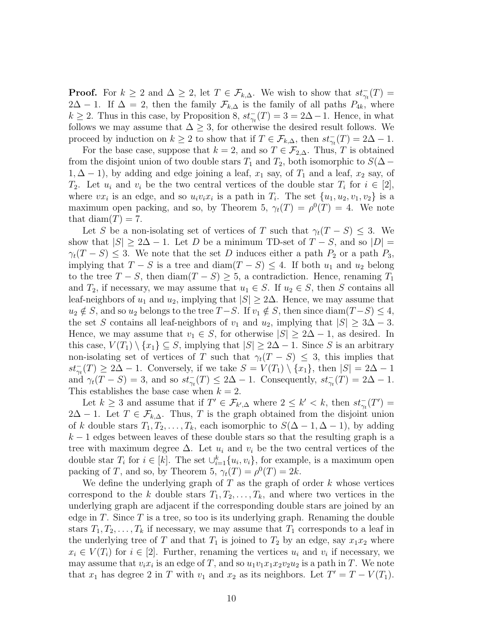**Proof.** For  $k \geq 2$  and  $\Delta \geq 2$ , let  $T \in \mathcal{F}_{k,\Delta}$ . We wish to show that  $st_{\gamma_t}(T) =$  $2\Delta - 1$ . If  $\Delta = 2$ , then the family  $\mathcal{F}_{k,\Delta}$  is the family of all paths  $P_{4k}$ , where  $k \geq 2$ . Thus in this case, by Proposition 8,  $st_{\gamma_t}^-(T) = 3 = 2\Delta - 1$ . Hence, in what follows we may assume that  $\Delta \geq 3$ , for otherwise the desired result follows. We proceed by induction on  $k \geq 2$  to show that if  $T \in \mathcal{F}_{k,\Delta}$ , then  $st_{\gamma_t}(T) = 2\Delta - 1$ .

For the base case, suppose that  $k = 2$ , and so  $T \in \mathcal{F}_{2,\Delta}$ . Thus, T is obtained from the disjoint union of two double stars  $T_1$  and  $T_2$ , both isomorphic to  $S(\Delta 1, \Delta - 1$ , by adding and edge joining a leaf,  $x_1$  say, of  $T_1$  and a leaf,  $x_2$  say, of  $T_2$ . Let  $u_i$  and  $v_i$  be the two central vertices of the double star  $T_i$  for  $i \in [2]$ , where  $vx_i$  is an edge, and so  $u_i v_i x_i$  is a path in  $T_i$ . The set  $\{u_1, u_2, v_1, v_2\}$  is a maximum open packing, and so, by Theorem 5,  $\gamma_t(T) = \rho^0(T) = 4$ . We note that diam $(T) = 7$ .

Let S be a non-isolating set of vertices of T such that  $\gamma_t(T-S) \leq 3$ . We show that  $|S| \geq 2\Delta - 1$ . Let D be a minimum TD-set of  $T - S$ , and so  $|D| =$  $\gamma_t(T-S) \leq 3$ . We note that the set D induces either a path  $P_2$  or a path  $P_3$ , implying that  $T - S$  is a tree and diam $(T - S) \leq 4$ . If both  $u_1$  and  $u_2$  belong to the tree  $T - S$ , then diam $(T - S) \geq 5$ , a contradiction. Hence, renaming  $T_1$ and  $T_2$ , if necessary, we may assume that  $u_1 \in S$ . If  $u_2 \in S$ , then S contains all leaf-neighbors of  $u_1$  and  $u_2$ , implying that  $|S| \geq 2\Delta$ . Hence, we may assume that  $u_2 \notin S$ , and so  $u_2$  belongs to the tree  $T-S$ . If  $v_1 \notin S$ , then since  $\text{diam}(T-S) \leq 4$ , the set S contains all leaf-neighbors of  $v_1$  and  $u_2$ , implying that  $|S| \geq 3\Delta - 3$ . Hence, we may assume that  $v_1 \in S$ , for otherwise  $|S| \geq 2\Delta - 1$ , as desired. In this case,  $V(T_1) \setminus \{x_1\} \subseteq S$ , implying that  $|S| \geq 2\Delta - 1$ . Since S is an arbitrary non-isolating set of vertices of T such that  $\gamma_t(T - S) \leq 3$ , this implies that  $st_{\gamma_t}^-(T) \geq 2\Delta - 1$ . Conversely, if we take  $S = V(T_1) \setminus \{x_1\}$ , then  $|S| = 2\Delta - 1$ and  $\gamma_t(T - S) = 3$ , and so  $st_{\gamma_t}(T) \leq 2\Delta - 1$ . Consequently,  $st_{\gamma_t}(T) = 2\Delta - 1$ . This establishes the base case when  $k = 2$ .

Let  $k \geq 3$  and assume that if  $T' \in \mathcal{F}_{k',\Delta}$  where  $2 \leq k' < k$ , then  $st_{\gamma_t}^-(T') =$  $2\Delta - 1$ . Let  $T \in \mathcal{F}_{k,\Delta}$ . Thus, T is the graph obtained from the disjoint union of k double stars  $T_1, T_2, \ldots, T_k$ , each isomorphic to  $S(\Delta - 1, \Delta - 1)$ , by adding  $k-1$  edges between leaves of these double stars so that the resulting graph is a tree with maximum degree  $\Delta$ . Let  $u_i$  and  $v_i$  be the two central vertices of the double star  $T_i$  for  $i \in [k]$ . The set  $\cup_{i=1}^k \{u_i, v_i\}$ , for example, is a maximum open packing of T, and so, by Theorem 5,  $\gamma_t(T) = \rho^0(T) = 2k$ .

We define the underlying graph of  $T$  as the graph of order  $k$  whose vertices correspond to the k double stars  $T_1, T_2, \ldots, T_k$ , and where two vertices in the underlying graph are adjacent if the corresponding double stars are joined by an edge in  $T$ . Since  $T$  is a tree, so too is its underlying graph. Renaming the double stars  $T_1, T_2, \ldots, T_k$  if necessary, we may assume that  $T_1$  corresponds to a leaf in the underlying tree of T and that  $T_1$  is joined to  $T_2$  by an edge, say  $x_1x_2$  where  $x_i \in V(T_i)$  for  $i \in [2]$ . Further, renaming the vertices  $u_i$  and  $v_i$  if necessary, we may assume that  $v_i x_i$  is an edge of T, and so  $u_1 v_1 x_1 x_2 v_2 u_2$  is a path in T. We note that  $x_1$  has degree 2 in T with  $v_1$  and  $x_2$  as its neighbors. Let  $T' = T - V(T_1)$ .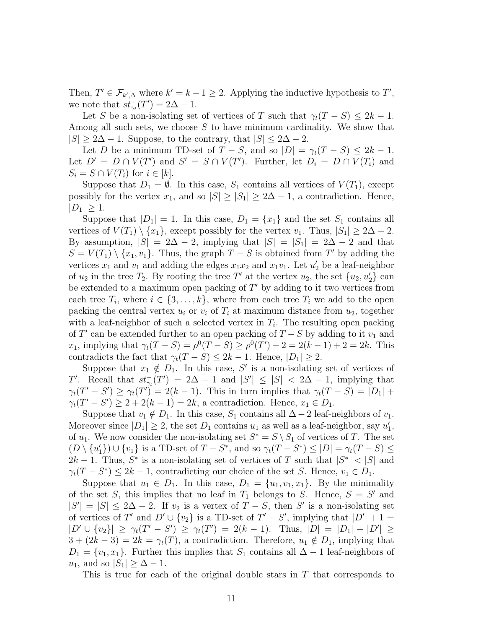Then,  $T' \in \mathcal{F}_{k',\Delta}$  where  $k' = k - 1 \geq 2$ . Applying the inductive hypothesis to  $T'$ , we note that  $st_{\gamma_t}^-(T') = 2\Delta - 1$ .

Let S be a non-isolating set of vertices of T such that  $\gamma_t(T-S) \leq 2k-1$ . Among all such sets, we choose S to have minimum cardinality. We show that  $|S| \geq 2\Delta - 1$ . Suppose, to the contrary, that  $|S| \leq 2\Delta - 2$ .

Let D be a minimum TD-set of  $T - S$ , and so  $|D| = \gamma_t(T - S) \leq 2k - 1$ . Let  $D' = D \cap V(T')$  and  $S' = S \cap V(T')$ . Further, let  $D_i = D \cap V(T_i)$  and  $S_i = S \cap V(T_i)$  for  $i \in [k]$ .

Suppose that  $D_1 = \emptyset$ . In this case,  $S_1$  contains all vertices of  $V(T_1)$ , except possibly for the vertex  $x_1$ , and so  $|S| \geq |S_1| \geq 2\Delta - 1$ , a contradiction. Hence,  $|D_1| \geq 1$ .

Suppose that  $|D_1| = 1$ . In this case,  $D_1 = \{x_1\}$  and the set  $S_1$  contains all vertices of  $V(T_1) \setminus \{x_1\}$ , except possibly for the vertex  $v_1$ . Thus,  $|S_1| \geq 2\Delta - 2$ . By assumption,  $|S| = 2\Delta - 2$ , implying that  $|S| = |S_1| = 2\Delta - 2$  and that  $S = V(T_1) \setminus \{x_1, v_1\}.$  Thus, the graph  $T - S$  is obtained from T' by adding the vertices  $x_1$  and  $v_1$  and adding the edges  $x_1x_2$  and  $x_1v_1$ . Let  $u'_2$  be a leaf-neighbor of  $u_2$  in the tree  $T_2$ . By rooting the tree T' at the vertex  $u_2$ , the set  $\{u_2, u_2'\}$  can be extended to a maximum open packing of  $T'$  by adding to it two vertices from each tree  $T_i$ , where  $i \in \{3, \ldots, k\}$ , where from each tree  $T_i$  we add to the open packing the central vertex  $u_i$  or  $v_i$  of  $T_i$  at maximum distance from  $u_2$ , together with a leaf-neighbor of such a selected vertex in  $T_i$ . The resulting open packing of T' can be extended further to an open packing of  $T-S$  by adding to it  $v_1$  and  $x_1$ , implying that  $\gamma_t(T - S) = \rho^0(T - S) \ge \rho^0(T') + 2 = 2(k - 1) + 2 = 2k$ . This contradicts the fact that  $\gamma_t(T - S) \leq 2k - 1$ . Hence,  $|D_1| \geq 2$ .

Suppose that  $x_1 \notin D_1$ . In this case, S' is a non-isolating set of vertices of T'. Recall that  $st_{\gamma_t}^-(T') = 2\Delta - 1$  and  $|S'| \leq |S| < 2\Delta - 1$ , implying that  $\gamma_t(T'-S') \geq \gamma_t(T') = 2(k-1)$ . This in turn implies that  $\gamma_t(T-S) = |D_1| +$  $\gamma_t(T'-S') \geq 2 + 2(k-1) = 2k$ , a contradiction. Hence,  $x_1 \in D_1$ .

Suppose that  $v_1 \notin D_1$ . In this case,  $S_1$  contains all  $\Delta - 2$  leaf-neighbors of  $v_1$ . Moreover since  $|D_1| \geq 2$ , the set  $D_1$  contains  $u_1$  as well as a leaf-neighbor, say  $u'_1$ , of  $u_1$ . We now consider the non-isolating set  $S^* = S \setminus S_1$  of vertices of T. The set  $(D \setminus \{u_1'\}) \cup \{v_1\}$  is a TD-set of  $T - S^*$ , and so  $\gamma_t(T - S^*) \leq |D| = \gamma_t(T - S) \leq$  $2k-1$ . Thus,  $S^*$  is a non-isolating set of vertices of T such that  $|S^*| < |S|$  and  $\gamma_t(T - S^*) \leq 2k - 1$ , contradicting our choice of the set S. Hence,  $v_1 \in D_1$ .

Suppose that  $u_1 \in D_1$ . In this case,  $D_1 = \{u_1, v_1, x_1\}$ . By the minimality of the set S, this implies that no leaf in  $T_1$  belongs to S. Hence,  $S = S'$  and  $|S'| = |S| \leq 2\Delta - 2$ . If  $v_2$  is a vertex of  $T - S$ , then S' is a non-isolating set of vertices of T' and  $D' \cup \{v_2\}$  is a TD-set of  $T' - S'$ , implying that  $|D'| + 1 =$  $|D' \cup \{v_2\}| \geq \gamma_t(T'-S') \geq \gamma_t(T') = 2(k-1)$ . Thus,  $|D| = |D_1| + |D'| \geq$  $3 + (2k - 3) = 2k = \gamma_t(T)$ , a contradiction. Therefore,  $u_1 \notin D_1$ , implying that  $D_1 = \{v_1, x_1\}.$  Further this implies that  $S_1$  contains all  $\Delta - 1$  leaf-neighbors of  $u_1$ , and so  $|S_1| \geq \Delta - 1$ .

This is true for each of the original double stars in  $T$  that corresponds to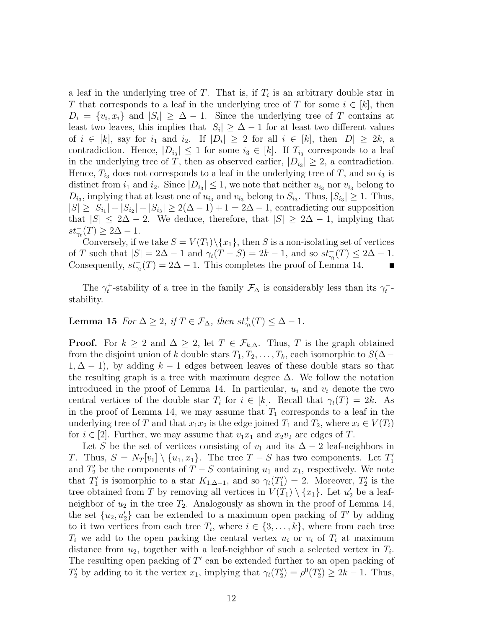a leaf in the underlying tree of  $T$ . That is, if  $T_i$  is an arbitrary double star in T that corresponds to a leaf in the underlying tree of T for some  $i \in [k]$ , then  $D_i = \{v_i, x_i\}$  and  $|S_i| \geq \Delta - 1$ . Since the underlying tree of T contains at least two leaves, this implies that  $|S_i| \geq \Delta - 1$  for at least two different values of  $i \in [k]$ , say for  $i_1$  and  $i_2$ . If  $|D_i| \geq 2$  for all  $i \in [k]$ , then  $|D| \geq 2k$ , a contradiction. Hence,  $|D_{i_3}| \leq 1$  for some  $i_3 \in [k]$ . If  $T_{i_3}$  corresponds to a leaf in the underlying tree of T, then as observed earlier,  $|D_{i_3}| \geq 2$ , a contradiction. Hence,  $T_{i_3}$  does not corresponds to a leaf in the underlying tree of T, and so  $i_3$  is distinct from  $i_1$  and  $i_2$ . Since  $|D_{i_3}| \leq 1$ , we note that neither  $u_{i_3}$  nor  $v_{i_3}$  belong to  $D_{i_3}$ , implying that at least one of  $u_{i_3}$  and  $v_{i_3}$  belong to  $S_{i_3}$ . Thus,  $|S_{i_3}| \geq 1$ . Thus,  $|S| \ge |S_{i_1}| + |S_{i_2}| + |S_{i_3}| \ge 2(\Delta - 1) + 1 = 2\Delta - 1$ , contradicting our supposition that  $|S| \leq 2\Delta - 2$ . We deduce, therefore, that  $|S| \geq 2\Delta - 1$ , implying that  $st_{\gamma_t}^-(T) \geq 2\Delta - 1.$ 

Conversely, if we take  $S = V(T_1) \setminus \{x_1\}$ , then S is a non-isolating set of vertices of T such that  $|S| = 2\Delta - 1$  and  $\gamma_t(T - S) = 2k - 1$ , and so  $st_{\gamma_t}(T) \leq 2\Delta - 1$ . Consequently,  $st_{\gamma_t}^-(T) = 2\Delta - 1$ . This completes the proof of Lemma 14.

The  $\gamma_t^+$ -stability of a tree in the family  $\mathcal{F}_{\Delta}$  is considerably less than its  $\gamma_t^-$ stability.

### **Lemma 15** *For*  $\Delta \geq 2$ *, if*  $T \in \mathcal{F}_{\Delta}$ *, then*  $st^+_{\gamma_t}(T) \leq \Delta - 1$ *.*

**Proof.** For  $k \geq 2$  and  $\Delta \geq 2$ , let  $T \in \mathcal{F}_{k,\Delta}$ . Thus, T is the graph obtained from the disjoint union of k double stars  $T_1, T_2, \ldots, T_k$ , each isomorphic to  $S(\Delta 1, \Delta - 1$ , by adding  $k - 1$  edges between leaves of these double stars so that the resulting graph is a tree with maximum degree  $\Delta$ . We follow the notation introduced in the proof of Lemma 14. In particular,  $u_i$  and  $v_i$  denote the two central vertices of the double star  $T_i$  for  $i \in [k]$ . Recall that  $\gamma_t(T) = 2k$ . As in the proof of Lemma 14, we may assume that  $T_1$  corresponds to a leaf in the underlying tree of T and that  $x_1x_2$  is the edge joined  $T_1$  and  $T_2$ , where  $x_i \in V(T_i)$ for  $i \in [2]$ . Further, we may assume that  $v_1x_1$  and  $x_2v_2$  are edges of T.

Let S be the set of vertices consisting of  $v_1$  and its  $\Delta - 2$  leaf-neighbors in T. Thus,  $S = N_T[v_1] \setminus \{u_1, x_1\}$ . The tree  $T - S$  has two components. Let  $T'_1$ and  $T_2'$  be the components of  $T - S$  containing  $u_1$  and  $x_1$ , respectively. We note that  $T'_1$  is isomorphic to a star  $K_{1,\Delta-1}$ , and so  $\gamma_t(T'_1) = 2$ . Moreover,  $T'_2$  is the tree obtained from T by removing all vertices in  $V(T_1) \setminus \{x_1\}$ . Let  $u'_2$  be a leafneighbor of  $u_2$  in the tree  $T_2$ . Analogously as shown in the proof of Lemma 14, the set  $\{u_2, u_2\}$  can be extended to a maximum open packing of  $T'$  by adding to it two vertices from each tree  $T_i$ , where  $i \in \{3, \ldots, k\}$ , where from each tree  $T_i$  we add to the open packing the central vertex  $u_i$  or  $v_i$  of  $T_i$  at maximum distance from  $u_2$ , together with a leaf-neighbor of such a selected vertex in  $T_i$ . The resulting open packing of  $T'$  can be extended further to an open packing of  $T_2'$  by adding to it the vertex  $x_1$ , implying that  $\gamma_t(T_2') = \rho^0(T_2') \geq 2k - 1$ . Thus,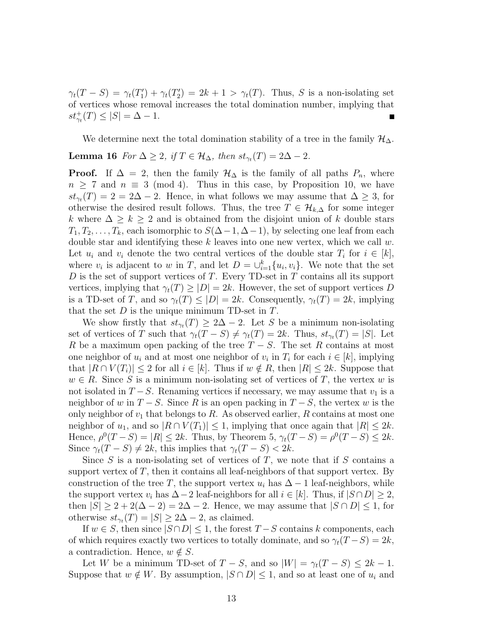$\gamma_t(T-S) = \gamma_t(T_1') + \gamma_t(T_2') = 2k + 1 > \gamma_t(T)$ . Thus, S is a non-isolating set of vertices whose removal increases the total domination number, implying that  $st^+_{\gamma_t}(T) \leq |S| = \Delta - 1.$  $\blacksquare$ 

We determine next the total domination stability of a tree in the family  $\mathcal{H}_{\Delta}$ .

### **Lemma 16** *For*  $\Delta \geq 2$ *, if*  $T \in \mathcal{H}_{\Delta}$ *, then*  $st_{\gamma_t}(T) = 2\Delta - 2$ *.*

**Proof.** If  $\Delta = 2$ , then the family  $\mathcal{H}_{\Delta}$  is the family of all paths  $P_n$ , where  $n \geq 7$  and  $n \equiv 3 \pmod{4}$ . Thus in this case, by Proposition 10, we have  $st_{\gamma_t}(T) = 2 = 2\Delta - 2$ . Hence, in what follows we may assume that  $\Delta \geq 3$ , for otherwise the desired result follows. Thus, the tree  $T \in \mathcal{H}_{k,\Delta}$  for some integer k where  $\Delta \geq k \geq 2$  and is obtained from the disjoint union of k double stars  $T_1, T_2, \ldots, T_k$ , each isomorphic to  $S(\Delta-1, \Delta-1)$ , by selecting one leaf from each double star and identifying these  $k$  leaves into one new vertex, which we call  $w$ . Let  $u_i$  and  $v_i$  denote the two central vertices of the double star  $T_i$  for  $i \in [k]$ , where  $v_i$  is adjacent to w in T, and let  $D = \bigcup_{i=1}^k \{u_i, v_i\}$ . We note that the set  $D$  is the set of support vertices of  $T$ . Every TD-set in  $T$  contains all its support vertices, implying that  $\gamma_t(T) \geq |D| = 2k$ . However, the set of support vertices D is a TD-set of T, and so  $\gamma_t(T) \leq |D| = 2k$ . Consequently,  $\gamma_t(T) = 2k$ , implying that the set  $D$  is the unique minimum TD-set in  $T$ .

We show firstly that  $st_{\gamma_t}(T) \geq 2\Delta - 2$ . Let S be a minimum non-isolating set of vertices of T such that  $\gamma_t(T - S) \neq \gamma_t(T) = 2k$ . Thus,  $st_{\gamma_t}(T) = |S|$ . Let R be a maximum open packing of the tree  $T-S$ . The set R contains at most one neighbor of  $u_i$  and at most one neighbor of  $v_i$  in  $T_i$  for each  $i \in [k]$ , implying that  $|R \cap V(T_i)| \leq 2$  for all  $i \in [k]$ . Thus if  $w \notin R$ , then  $|R| \leq 2k$ . Suppose that  $w \in R$ . Since S is a minimum non-isolating set of vertices of T, the vertex w is not isolated in  $T-S$ . Renaming vertices if necessary, we may assume that  $v_1$  is a neighbor of w in  $T-S$ . Since R is an open packing in  $T-S$ , the vertex w is the only neighbor of  $v_1$  that belongs to R. As observed earlier, R contains at most one neighbor of  $u_1$ , and so  $|R \cap V(T_1)| \leq 1$ , implying that once again that  $|R| \leq 2k$ . Hence,  $\rho^0(T - S) = |R| \leq 2k$ . Thus, by Theorem 5,  $\gamma_t(T - S) = \rho^0(T - S) \leq 2k$ . Since  $\gamma_t(T - S) \neq 2k$ , this implies that  $\gamma_t(T - S) < 2k$ .

Since  $S$  is a non-isolating set of vertices of  $T$ , we note that if  $S$  contains a support vertex of  $T$ , then it contains all leaf-neighbors of that support vertex. By construction of the tree T, the support vertex  $u_i$  has  $\Delta - 1$  leaf-neighbors, while the support vertex  $v_i$  has  $\Delta - 2$  leaf-neighbors for all  $i \in [k]$ . Thus, if  $|S \cap D| \geq 2$ , then  $|S| \geq 2 + 2(\Delta - 2) = 2\Delta - 2$ . Hence, we may assume that  $|S \cap D| \leq 1$ , for otherwise  $st_{\gamma_t}(T) = |S| \geq 2\Delta - 2$ , as claimed.

If  $w \in S$ , then since  $|S \cap D| \leq 1$ , the forest  $T - S$  contains k components, each of which requires exactly two vertices to totally dominate, and so  $\gamma_t(T-S) = 2k$ , a contradiction. Hence,  $w \notin S$ .

Let W be a minimum TD-set of  $T - S$ , and so  $|W| = \gamma_t(T - S) \leq 2k - 1$ . Suppose that  $w \notin W$ . By assumption,  $|S \cap D| \leq 1$ , and so at least one of  $u_i$  and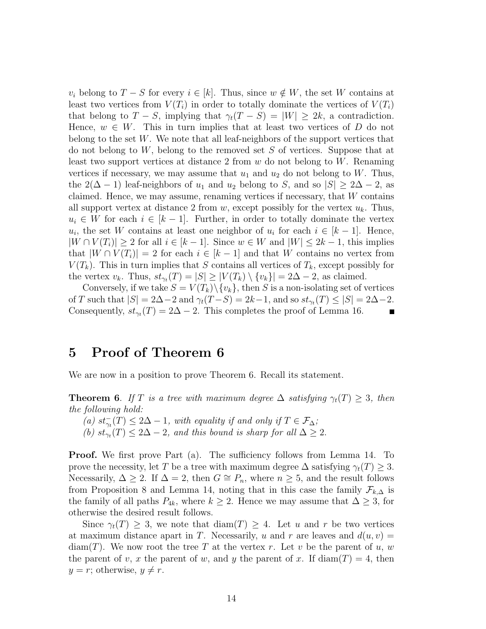$v_i$  belong to  $T-S$  for every  $i \in [k]$ . Thus, since  $w \notin W$ , the set W contains at least two vertices from  $V(T_i)$  in order to totally dominate the vertices of  $V(T_i)$ that belong to  $T - S$ , implying that  $\gamma_t(T - S) = |W| \geq 2k$ , a contradiction. Hence,  $w \in W$ . This in turn implies that at least two vertices of D do not belong to the set  $W$ . We note that all leaf-neighbors of the support vertices that do not belong to  $W$ , belong to the removed set  $S$  of vertices. Suppose that at least two support vertices at distance 2 from  $w$  do not belong to  $W$ . Renaming vertices if necessary, we may assume that  $u_1$  and  $u_2$  do not belong to W. Thus, the 2( $\Delta$  − 1) leaf-neighbors of  $u_1$  and  $u_2$  belong to S, and so  $|S| \geq 2\Delta - 2$ , as claimed. Hence, we may assume, renaming vertices if necessary, that  $W$  contains all support vertex at distance 2 from w, except possibly for the vertex  $u_k$ . Thus,  $u_i \in W$  for each  $i \in [k-1]$ . Further, in order to totally dominate the vertex  $u_i$ , the set W contains at least one neighbor of  $u_i$  for each  $i \in [k-1]$ . Hence,  $|W \cap V(T_i)| \geq 2$  for all  $i \in [k-1]$ . Since  $w \in W$  and  $|W| \leq 2k-1$ , this implies that  $|W \cap V(T_i)| = 2$  for each  $i \in [k-1]$  and that W contains no vertex from  $V(T_k)$ . This in turn implies that S contains all vertices of  $T_k$ , except possibly for the vertex  $v_k$ . Thus,  $st_{\gamma_t}(T) = |S| \ge |V(T_k) \setminus \{v_k\}| = 2\Delta - 2$ , as claimed.

Conversely, if we take  $S = V(T_k) \setminus \{v_k\}$ , then S is a non-isolating set of vertices of T such that  $|S| = 2\Delta - 2$  and  $\gamma_t(T - S) = 2k - 1$ , and so  $st_{\gamma_t}(T) \leq |S| = 2\Delta - 2$ . Consequently,  $st_{\gamma_t}(T) = 2\Delta - 2$ . This completes the proof of Lemma 16.

### **5 Proof of Theorem 6**

We are now in a position to prove Theorem 6. Recall its statement.

**Theorem 6.** If T is a tree with maximum degree  $\Delta$  satisfying  $\gamma_t(T) \geq 3$ , then *the following hold:*

(a)  $st_{\gamma_t}^-(T) \leq 2\Delta - 1$ , with equality if and only if  $T \in \mathcal{F}_{\Delta}$ ; (b)  $st_{\gamma_t}(T) \leq 2\Delta - 2$ , and this bound is sharp for all  $\Delta \geq 2$ .

**Proof.** We first prove Part (a). The sufficiency follows from Lemma 14. To prove the necessity, let T be a tree with maximum degree  $\Delta$  satisfying  $\gamma_t(T) \geq 3$ . Necessarily,  $\Delta \geq 2$ . If  $\Delta = 2$ , then  $G \cong P_n$ , where  $n \geq 5$ , and the result follows from Proposition 8 and Lemma 14, noting that in this case the family  $\mathcal{F}_{k,\Delta}$  is the family of all paths  $P_{4k}$ , where  $k \geq 2$ . Hence we may assume that  $\Delta \geq 3$ , for otherwise the desired result follows.

Since  $\gamma_t(T) \geq 3$ , we note that  $\text{diam}(T) \geq 4$ . Let u and r be two vertices at maximum distance apart in T. Necessarily, u and r are leaves and  $d(u, v) =$  $diam(T)$ . We now root the tree T at the vertex r. Let v be the parent of u, w the parent of v, x the parent of w, and y the parent of x. If  $diam(T) = 4$ , then  $y = r$ ; otherwise,  $y \neq r$ .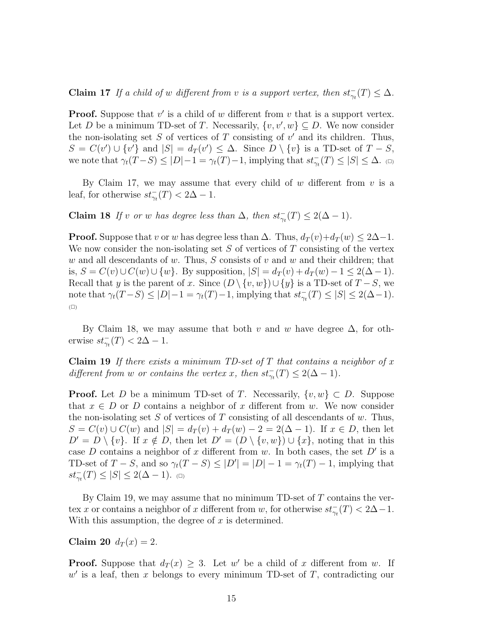**Claim 17** *If a child of* w *different from* v *is a support vertex, then*  $st_{\gamma_t}^-(T) \leq \Delta$ *.* 

**Proof.** Suppose that  $v'$  is a child of  $w$  different from  $v$  that is a support vertex. Let D be a minimum TD-set of T. Necessarily,  $\{v, v', w\} \subseteq D$ . We now consider the non-isolating set  $S$  of vertices of  $T$  consisting of  $v'$  and its children. Thus,  $S = C(v') \cup \{v'\}$  and  $|S| = d_T(v') \leq \Delta$ . Since  $D \setminus \{v\}$  is a TD-set of  $T - S$ , we note that  $\gamma_t(T-S) \leq |D|-1 = \gamma_t(T)-1$ , implying that  $st_{\gamma_t}(T) \leq |S| \leq \Delta$ .  $\Box$ 

By Claim 17, we may assume that every child of  $w$  different from  $v$  is a leaf, for otherwise  $st_{\gamma_t}^-(T) < 2\Delta - 1$ .

**Claim 18** *If* v or w has degree less than  $\Delta$ , then  $st_{\gamma_t}^-(T) \leq 2(\Delta - 1)$ *.* 

**Proof.** Suppose that v or w has degree less than  $\Delta$ . Thus,  $d_T(v)+d_T(w) \leq 2\Delta-1$ . We now consider the non-isolating set  $S$  of vertices of  $T$  consisting of the vertex w and all descendants of w. Thus, S consists of v and w and their children; that is,  $S = C(v) \cup C(w) \cup \{w\}$ . By supposition,  $|S| = d_T(v) + d_T(w) - 1 \leq 2(\Delta - 1)$ . Recall that y is the parent of x. Since  $(D \setminus \{v, w\}) \cup \{y\}$  is a TD-set of  $T - S$ , we note that  $\gamma_t(T-S) \leq |D|-1 = \gamma_t(T)-1$ , implying that  $st_{\gamma_t}(T) \leq |S| \leq 2(\Delta-1)$ .  $(\Box)$ 

By Claim 18, we may assume that both v and w have degree  $\Delta$ , for otherwise  $st_{\gamma_t}^-(T) < 2\Delta - 1$ .

**Claim 19** *If there exists a minimum TD-set of* T *that contains a neighbor of* x *different from w or contains the vertex x, then*  $st_{\gamma_t}^-(T) \leq 2(\Delta - 1)$ *.* 

**Proof.** Let D be a minimum TD-set of T. Necessarily,  $\{v, w\} \subset D$ . Suppose that  $x \in D$  or D contains a neighbor of x different from w. We now consider the non-isolating set  $S$  of vertices of  $T$  consisting of all descendants of  $w$ . Thus,  $S = C(v) \cup C(w)$  and  $|S| = d_T(v) + d_T(w) - 2 = 2(\Delta - 1)$ . If  $x \in D$ , then let  $D' = D \setminus \{v\}.$  If  $x \notin D$ , then let  $D' = (D \setminus \{v, w\}) \cup \{x\}$ , noting that in this case D contains a neighbor of x different from w. In both cases, the set  $D'$  is a TD-set of  $T - S$ , and so  $\gamma_t(T - S) \leq |D'| = |D| - 1 = \gamma_t(T) - 1$ , implying that  $st_{\gamma_t}^-(T) \leq |S| \leq 2(\Delta - 1).$  (

By Claim 19, we may assume that no minimum TD-set of  $T$  contains the vertex x or contains a neighbor of x different from w, for otherwise  $st_{\gamma_t}^-(T) < 2\Delta - 1$ . With this assumption, the degree of  $x$  is determined.

**Claim 20**  $d_T(x) = 2$ .

**Proof.** Suppose that  $d_T(x) \geq 3$ . Let w' be a child of x different from w. If  $w'$  is a leaf, then x belongs to every minimum TD-set of  $T$ , contradicting our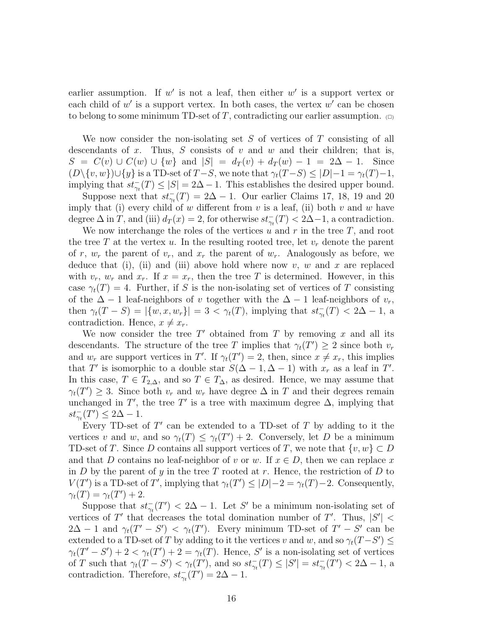earlier assumption. If  $w'$  is not a leaf, then either  $w'$  is a support vertex or each child of  $w'$  is a support vertex. In both cases, the vertex  $w'$  can be chosen to belong to some minimum TD-set of T, contradicting our earlier assumption.  $\Box$ 

We now consider the non-isolating set S of vertices of T consisting of all descendants of x. Thus, S consists of v and w and their children; that is,  $S = C(v) \cup C(w) \cup \{w\}$  and  $|S| = d_T(v) + d_T(w) - 1 = 2\Delta - 1$ . Since  $(D\setminus\{v,w\})\cup\{y\}$  is a TD-set of  $T-S$ , we note that  $\gamma_t(T-S)\leq |D|-1=\gamma_t(T)-1$ , implying that  $st_{\gamma_t}^-(T) \leq |S| = 2\Delta - 1$ . This establishes the desired upper bound.

Suppose next that  $st_{\gamma_t}^-(T) = 2\Delta - 1$ . Our earlier Claims 17, 18, 19 and 20 imply that (i) every child of w different from  $v$  is a leaf, (ii) both  $v$  and  $w$  have degree  $\Delta$  in T, and (iii)  $d_T(x) = 2$ , for otherwise  $st_{\gamma_t}^-(T) < 2\Delta - 1$ , a contradiction.

We now interchange the roles of the vertices  $u$  and  $r$  in the tree  $T$ , and root the tree T at the vertex u. In the resulting rooted tree, let  $v_r$  denote the parent of r,  $w_r$  the parent of  $v_r$ , and  $x_r$  the parent of  $w_r$ . Analogously as before, we deduce that (i), (ii) and (iii) above hold where now v, w and x are replaced with  $v_r$ ,  $w_r$  and  $x_r$ . If  $x = x_r$ , then the tree T is determined. However, in this case  $\gamma_t(T) = 4$ . Further, if S is the non-isolating set of vertices of T consisting of the  $\Delta - 1$  leaf-neighbors of v together with the  $\Delta - 1$  leaf-neighbors of  $v_r$ , then  $\gamma_t(T - S) = |\{w, x, w_r\}| = 3 < \gamma_t(T)$ , implying that  $st_{\gamma_t}(T) < 2\Delta - 1$ , a contradiction. Hence,  $x \neq x_r$ .

We now consider the tree  $T'$  obtained from  $T$  by removing  $x$  and all its descendants. The structure of the tree T implies that  $\gamma_t(T') \geq 2$  since both  $v_r$ and  $w_r$  are support vertices in T'. If  $\gamma_t(T') = 2$ , then, since  $x \neq x_r$ , this implies that T' is isomorphic to a double star  $S(\Delta - 1, \Delta - 1)$  with  $x_r$  as a leaf in T'. In this case,  $T \in T_{2,\Delta}$ , and so  $T \in T_{\Delta}$ , as desired. Hence, we may assume that  $\gamma_t(T') \geq 3$ . Since both  $v_r$  and  $w_r$  have degree  $\Delta$  in T and their degrees remain unchanged in T', the tree T' is a tree with maximum degree  $\Delta$ , implying that  $st_{\gamma_t}^-(T') \leq 2\Delta - 1.$ 

Every TD-set of  $T'$  can be extended to a TD-set of  $T$  by adding to it the vertices v and w, and so  $\gamma_t(T) \leq \gamma_t(T') + 2$ . Conversely, let D be a minimum TD-set of T. Since D contains all support vertices of T, we note that  $\{v, w\} \subset D$ and that D contains no leaf-neighbor of v or w. If  $x \in D$ , then we can replace x in D by the parent of y in the tree T rooted at r. Hence, the restriction of D to  $V(T')$  is a TD-set of T', implying that  $\gamma_t(T') \leq |D|-2 = \gamma_t(T)-2$ . Consequently,  $\gamma_t(T) = \gamma_t(T') + 2.$ 

Suppose that  $st_{\gamma_t}^-(T') < 2\Delta - 1$ . Let S' be a minimum non-isolating set of vertices of T' that decreases the total domination number of T'. Thus,  $|S'|$  <  $2\Delta - 1$  and  $\gamma_t(T' - S') < \gamma_t(T')$ . Every minimum TD-set of  $T' - S'$  can be extended to a TD-set of T by adding to it the vertices v and w, and so  $\gamma_t(T-S') \leq$  $\gamma_t(T'-S') + 2 < \gamma_t(T') + 2 = \gamma_t(T)$ . Hence, S' is a non-isolating set of vertices of T such that  $\gamma_t(T - S') < \gamma_t(T')$ , and so  $st_{\gamma_t}(T) \leq |S'| = st_{\gamma_t}(T') < 2\Delta - 1$ , a contradiction. Therefore,  $st_{\gamma_t}^-(T') = 2\Delta - 1$ .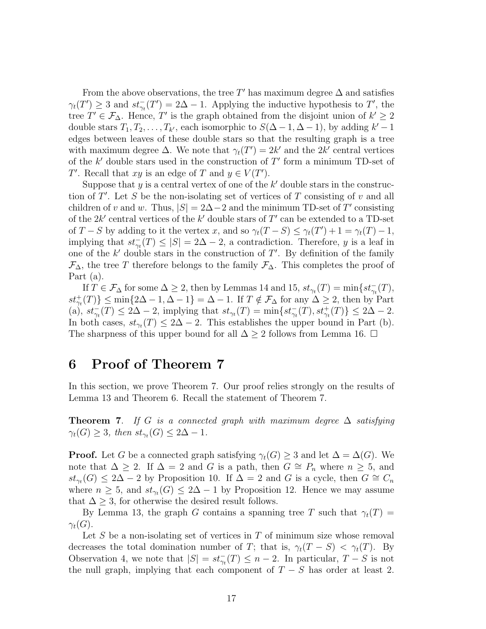From the above observations, the tree T' has maximum degree  $\Delta$  and satisfies  $\gamma_t(T') \geq 3$  and  $st_{\gamma_t}(T') = 2\Delta - 1$ . Applying the inductive hypothesis to T', the tree  $T' \in \mathcal{F}_{\Delta}$ . Hence, T' is the graph obtained from the disjoint union of  $k' \geq 2$ double stars  $T_1, T_2, \ldots, T_{k'}$ , each isomorphic to  $S(\Delta - 1, \Delta - 1)$ , by adding  $k' - 1$ edges between leaves of these double stars so that the resulting graph is a tree with maximum degree  $\Delta$ . We note that  $\gamma_t(T') = 2k'$  and the  $2k'$  central vertices of the  $k'$  double stars used in the construction of  $T'$  form a minimum TD-set of T'. Recall that xy is an edge of T and  $y \in V(T')$ .

Suppose that  $y$  is a central vertex of one of the  $k'$  double stars in the construction of  $T'$ . Let S be the non-isolating set of vertices of T consisting of v and all children of v and w. Thus,  $|S| = 2\Delta - 2$  and the minimum TD-set of T' consisting of the  $2k'$  central vertices of the  $k'$  double stars of  $T'$  can be extended to a TD-set of  $T-S$  by adding to it the vertex x, and so  $\gamma_t(T-S) \leq \gamma_t(T') + 1 = \gamma_t(T) - 1$ , implying that  $st_{\gamma_t}^-(T) \leq |S| = 2\Delta - 2$ , a contradiction. Therefore, y is a leaf in one of the  $k'$  double stars in the construction of  $T'$ . By definition of the family  $\mathcal{F}_{\Delta}$ , the tree T therefore belongs to the family  $\mathcal{F}_{\Delta}$ . This completes the proof of Part (a).

If  $T \in \mathcal{F}_{\Delta}$  for some  $\Delta \geq 2$ , then by Lemmas 14 and 15,  $st_{\gamma_t}(T) = \min\{st_{\gamma_t}^-(T),$  $st^+_{\gamma_t}(T)$ }  $\leq$  min{2 $\Delta - 1$ ,  $\Delta - 1$ } =  $\Delta - 1$ . If  $T \notin \mathcal{F}_{\Delta}$  for any  $\Delta \geq 2$ , then by Part (a),  $st_{\gamma_t}^-(T) \leq 2\Delta - 2$ , implying that  $st_{\gamma_t}(T) = \min\{st_{\gamma_t}^-(T), st_{\gamma_t}^+(T)\} \leq 2\Delta - 2$ . In both cases,  $st_{\gamma_t}(T) \leq 2\Delta - 2$ . This establishes the upper bound in Part (b). The sharpness of this upper bound for all  $\Delta \geq 2$  follows from Lemma 16.  $\Box$ 

## **6 Proof of Theorem 7**

In this section, we prove Theorem 7. Our proof relies strongly on the results of Lemma 13 and Theorem 6. Recall the statement of Theorem 7.

**Theorem 7**. *If* G *is a connected graph with maximum degree* ∆ *satisfying*  $\gamma_t(G) \geq 3$ , then  $st_{\gamma_t}(G) \leq 2\Delta - 1$ .

**Proof.** Let G be a connected graph satisfying  $\gamma_t(G) \geq 3$  and let  $\Delta = \Delta(G)$ . We note that  $\Delta \geq 2$ . If  $\Delta = 2$  and G is a path, then  $G \cong P_n$  where  $n \geq 5$ , and  $st_{\gamma_t}(G) \leq 2\Delta - 2$  by Proposition 10. If  $\Delta = 2$  and G is a cycle, then  $G \cong C_n$ where  $n \geq 5$ , and  $st_{\gamma_t}(G) \leq 2\Delta - 1$  by Proposition 12. Hence we may assume that  $\Delta \geq 3$ , for otherwise the desired result follows.

By Lemma 13, the graph G contains a spanning tree T such that  $\gamma_t(T)$  =  $\gamma_t(G)$ .

Let S be a non-isolating set of vertices in  $T$  of minimum size whose removal decreases the total domination number of T; that is,  $\gamma_t(T - S) < \gamma_t(T)$ . By Observation 4, we note that  $|S| = st_{\gamma_t}(T) \leq n-2$ . In particular,  $T-S$  is not the null graph, implying that each component of  $T - S$  has order at least 2.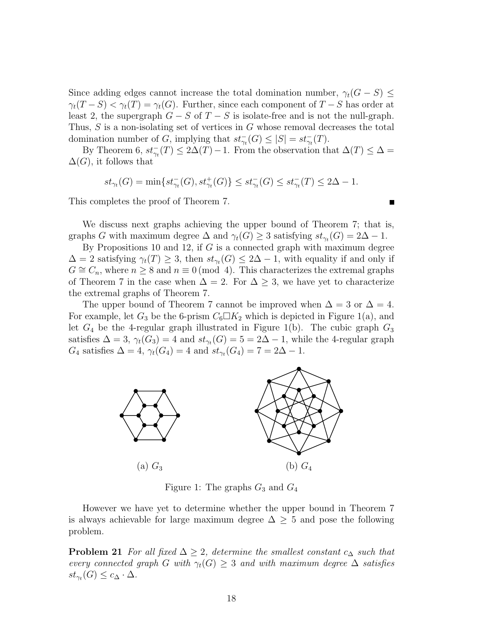Since adding edges cannot increase the total domination number,  $\gamma_t(G - S) \leq$  $\gamma_t(T-S) < \gamma_t(T) = \gamma_t(G)$ . Further, since each component of  $T-S$  has order at least 2, the supergraph  $G - S$  of  $T - S$  is isolate-free and is not the null-graph. Thus, S is a non-isolating set of vertices in G whose removal decreases the total domination number of G, implying that  $st_{\gamma_t}^-(G) \leq |S| = st_{\gamma_t}^-(T)$ .

By Theorem 6,  $st_{\gamma_t}^-(T) \leq 2\Delta(T) - 1$ . From the observation that  $\Delta(T) \leq \Delta =$  $\Delta(G)$ , it follows that

$$
st_{\gamma_t}(G)=\min\{st^-_{\gamma_t}(G),st^+_{\gamma_t}(G)\}\leq st^-_{\gamma_t}(G)\leq st^-_{\gamma_t}(T)\leq 2\Delta-1.
$$

This completes the proof of Theorem 7.

We discuss next graphs achieving the upper bound of Theorem 7; that is, graphs G with maximum degree  $\Delta$  and  $\gamma_t(G) \geq 3$  satisfying  $st_{\gamma_t}(G) = 2\Delta - 1$ .

By Propositions 10 and 12, if  $G$  is a connected graph with maximum degree  $\Delta = 2$  satisfying  $\gamma_t(T) \geq 3$ , then  $st_{\gamma_t}(G) \leq 2\Delta - 1$ , with equality if and only if  $G \cong C_n$ , where  $n \geq 8$  and  $n \equiv 0 \pmod{4}$ . This characterizes the extremal graphs of Theorem 7 in the case when  $\Delta = 2$ . For  $\Delta \geq 3$ , we have yet to characterize the extremal graphs of Theorem 7.

The upper bound of Theorem 7 cannot be improved when  $\Delta = 3$  or  $\Delta = 4$ . For example, let  $G_3$  be the 6-prism  $C_6\Box K_2$  which is depicted in Figure 1(a), and let  $G_4$  be the 4-regular graph illustrated in Figure 1(b). The cubic graph  $G_3$ satisfies  $\Delta = 3$ ,  $\gamma_t(G_3) = 4$  and  $st_{\gamma_t}(G) = 5 = 2\Delta - 1$ , while the 4-regular graph  $G_4$  satisfies  $\Delta = 4$ ,  $\gamma_t(G_4) = 4$  and  $st_{\gamma_t}(G_4) = 7 = 2\Delta - 1$ .



Figure 1: The graphs  $G_3$  and  $G_4$ 

However we have yet to determine whether the upper bound in Theorem 7 is always achievable for large maximum degree  $\Delta \geq 5$  and pose the following problem.

**Problem 21** *For all fixed*  $\Delta \geq 2$ *, determine the smallest constant*  $c_{\Delta}$  *such that every connected graph* G *with*  $\gamma_t(G) \geq 3$  *and with maximum degree*  $\Delta$  *satisfies*  $st_{\gamma_t}(G) \leq c_{\Delta} \cdot \Delta$ .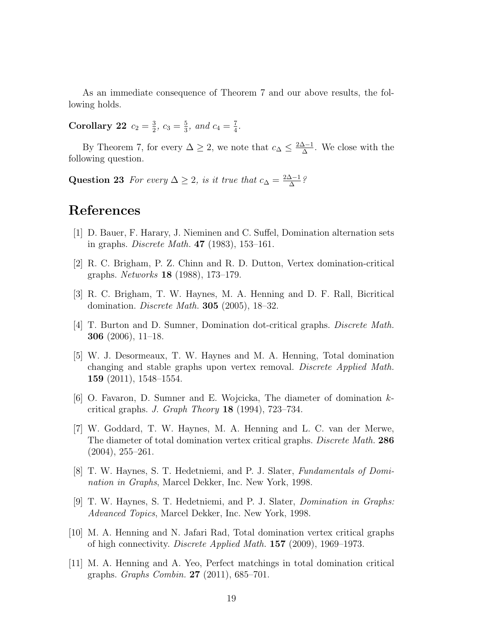As an immediate consequence of Theorem 7 and our above results, the following holds.

**Corollary 22**  $c_2 = \frac{3}{2}$  $\frac{3}{2}, c_3 = \frac{5}{3}$  $\frac{5}{3}$ *, and*  $c_4 = \frac{7}{4}$  $\frac{7}{4}$ .

By Theorem 7, for every  $\Delta \geq 2$ , we note that  $c_{\Delta} \leq \frac{2\Delta - 1}{\Delta}$  $\frac{\Delta-1}{\Delta}$ . We close with the following question.

Question 23 *For every*  $\Delta \geq 2$ *, is it true that*  $c_{\Delta} = \frac{2\Delta - 1}{\Delta}$ ∆ *?*

### **References**

- [1] D. Bauer, F. Harary, J. Nieminen and C. Suffel, Domination alternation sets in graphs. *Discrete Math.* **47** (1983), 153–161.
- [2] R. C. Brigham, P. Z. Chinn and R. D. Dutton, Vertex domination-critical graphs. *Networks* **18** (1988), 173–179.
- [3] R. C. Brigham, T. W. Haynes, M. A. Henning and D. F. Rall, Bicritical domination. *Discrete Math.* **305** (2005), 18–32.
- [4] T. Burton and D. Sumner, Domination dot-critical graphs. *Discrete Math.* **306** (2006), 11–18.
- [5] W. J. Desormeaux, T. W. Haynes and M. A. Henning, Total domination changing and stable graphs upon vertex removal. *Discrete Applied Math.* **159** (2011), 1548–1554.
- [6] O. Favaron, D. Sumner and E. Wojcicka, The diameter of domination kcritical graphs. *J. Graph Theory* **18** (1994), 723–734.
- [7] W. Goddard, T. W. Haynes, M. A. Henning and L. C. van der Merwe, The diameter of total domination vertex critical graphs. *Discrete Math.* **286** (2004), 255–261.
- [8] T. W. Haynes, S. T. Hedetniemi, and P. J. Slater, *Fundamentals of Domination in Graphs*, Marcel Dekker, Inc. New York, 1998.
- [9] T. W. Haynes, S. T. Hedetniemi, and P. J. Slater, *Domination in Graphs: Advanced Topics*, Marcel Dekker, Inc. New York, 1998.
- [10] M. A. Henning and N. Jafari Rad, Total domination vertex critical graphs of high connectivity. *Discrete Applied Math.* **157** (2009), 1969–1973.
- [11] M. A. Henning and A. Yeo, Perfect matchings in total domination critical graphs. *Graphs Combin.* **27** (2011), 685–701.